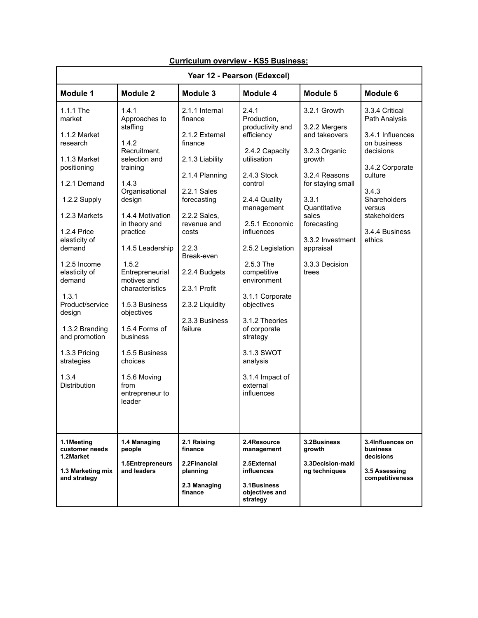| Year 12 - Pearson (Edexcel)                                                                                                                                                                                                                                                                                                                                    |                                                                                                                                                                                                                                                                                                                                                                                                                  |                                                                                                                                                                                                                                                                           |                                                                                                                                                                                                                                                                                                                                                                                                        |                                                                                                                                                                                                                              |                                                                                                                                                                                              |  |  |  |  |
|----------------------------------------------------------------------------------------------------------------------------------------------------------------------------------------------------------------------------------------------------------------------------------------------------------------------------------------------------------------|------------------------------------------------------------------------------------------------------------------------------------------------------------------------------------------------------------------------------------------------------------------------------------------------------------------------------------------------------------------------------------------------------------------|---------------------------------------------------------------------------------------------------------------------------------------------------------------------------------------------------------------------------------------------------------------------------|--------------------------------------------------------------------------------------------------------------------------------------------------------------------------------------------------------------------------------------------------------------------------------------------------------------------------------------------------------------------------------------------------------|------------------------------------------------------------------------------------------------------------------------------------------------------------------------------------------------------------------------------|----------------------------------------------------------------------------------------------------------------------------------------------------------------------------------------------|--|--|--|--|
| Module 1                                                                                                                                                                                                                                                                                                                                                       | <b>Module 2</b>                                                                                                                                                                                                                                                                                                                                                                                                  | Module 3                                                                                                                                                                                                                                                                  | Module 4                                                                                                                                                                                                                                                                                                                                                                                               | Module 5                                                                                                                                                                                                                     | Module 6                                                                                                                                                                                     |  |  |  |  |
| 1.1.1 The<br>market<br>1.1.2 Market<br>research<br>1.1.3 Market<br>positioning<br>1.2.1 Demand<br>1.2.2 Supply<br>1.2.3 Markets<br>1.2.4 Price<br>elasticity of<br>demand<br>$1.2.5$ Income<br>elasticity of<br>demand<br>1.3.1<br>Product/service<br>design<br>1.3.2 Branding<br>and promotion<br>1.3.3 Pricing<br>strategies<br>1.3.4<br><b>Distribution</b> | 1.4.1<br>Approaches to<br>staffing<br>1.4.2<br>Recruitment,<br>selection and<br>training<br>1.4.3<br>Organisational<br>design<br>1.4.4 Motivation<br>in theory and<br>practice<br>1.4.5 Leadership<br>1.5.2<br>Entrepreneurial<br>motives and<br>characteristics<br>1.5.3 Business<br>objectives<br>1.5.4 Forms of<br>business<br>1.5.5 Business<br>choices<br>1.5.6 Moving<br>from<br>entrepreneur to<br>leader | 2.1.1 Internal<br>finance<br>2.1.2 External<br>finance<br>2.1.3 Liability<br>2.1.4 Planning<br>2.2.1 Sales<br>forecasting<br>2.2.2 Sales,<br>revenue and<br>costs<br>2.2.3<br>Break-even<br>2.2.4 Budgets<br>2.3.1 Profit<br>2.3.2 Liquidity<br>2.3.3 Business<br>failure | 2.4.1<br>Production,<br>productivity and<br>efficiency<br>2.4.2 Capacity<br>utilisation<br>2.4.3 Stock<br>control<br>2.4.4 Quality<br>management<br>2.5.1 Economic<br>influences<br>2.5.2 Legislation<br>2.5.3 The<br>competitive<br>environment<br>3.1.1 Corporate<br>objectives<br>3.1.2 Theories<br>of corporate<br>strategy<br>3.1.3 SWOT<br>analysis<br>3.1.4 Impact of<br>external<br>influences | 3.2.1 Growth<br>3.2.2 Mergers<br>and takeovers<br>3.2.3 Organic<br>growth<br>3.2.4 Reasons<br>for staying small<br>3.3.1<br>Quantitative<br>sales<br>forecasting<br>3.3.2 Investment<br>appraisal<br>3.3.3 Decision<br>trees | 3.3.4 Critical<br>Path Analysis<br>3.4.1 Influences<br>on business<br>decisions<br>3.4.2 Corporate<br>culture<br>3.4.3<br>Shareholders<br>versus<br>stakeholders<br>3.4.4 Business<br>ethics |  |  |  |  |
| 1.1Meeting<br>customer needs<br>1.2Market<br>1.3 Marketing mix<br>and strategy                                                                                                                                                                                                                                                                                 | 1.4 Managing<br>people<br>1.5Entrepreneurs<br>and leaders                                                                                                                                                                                                                                                                                                                                                        | 2.1 Raising<br>finance<br>2.2Financial<br>planning<br>2.3 Managing                                                                                                                                                                                                        | 2.4Resource<br>management<br>2.5External<br><b>influences</b><br>3.1Business                                                                                                                                                                                                                                                                                                                           | 3.2Business<br>arowth<br>3.3Decision-maki<br>ng techniques                                                                                                                                                                   | 3.4Influences on<br><b>business</b><br>decisions<br>3.5 Assessing<br>competitiveness                                                                                                         |  |  |  |  |
|                                                                                                                                                                                                                                                                                                                                                                |                                                                                                                                                                                                                                                                                                                                                                                                                  | finance                                                                                                                                                                                                                                                                   | objectives and<br>strategy                                                                                                                                                                                                                                                                                                                                                                             |                                                                                                                                                                                                                              |                                                                                                                                                                                              |  |  |  |  |

## **Curriculum overview - KS5 Business:**